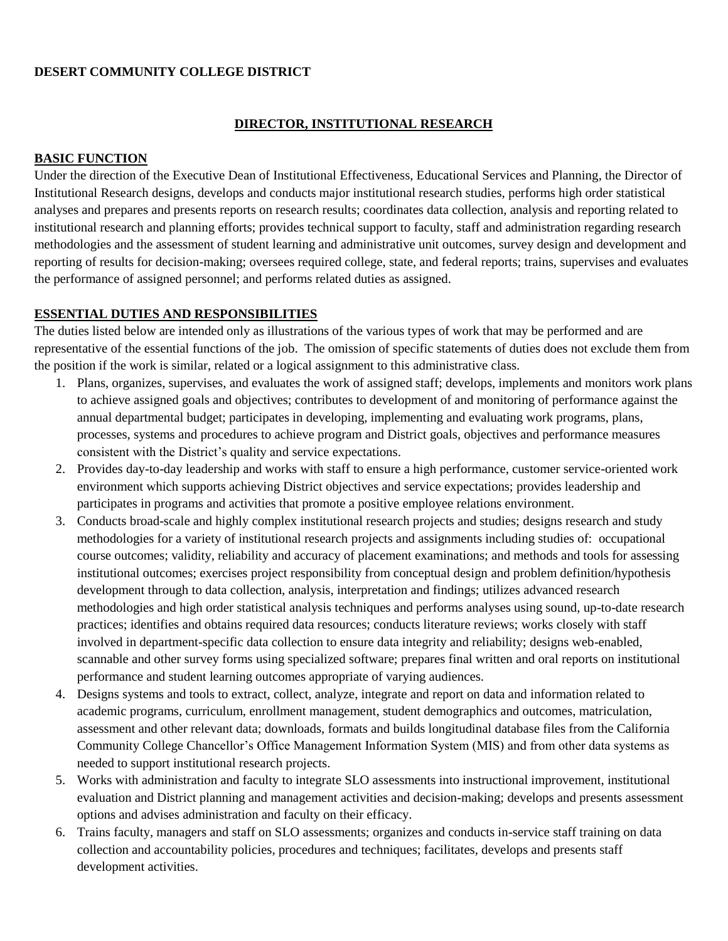### **DESERT COMMUNITY COLLEGE DISTRICT**

### **DIRECTOR, INSTITUTIONAL RESEARCH**

### **BASIC FUNCTION**

Under the direction of the Executive Dean of Institutional Effectiveness, Educational Services and Planning, the Director of Institutional Research designs, develops and conducts major institutional research studies, performs high order statistical analyses and prepares and presents reports on research results; coordinates data collection, analysis and reporting related to institutional research and planning efforts; provides technical support to faculty, staff and administration regarding research methodologies and the assessment of student learning and administrative unit outcomes, survey design and development and reporting of results for decision-making; oversees required college, state, and federal reports; trains, supervises and evaluates the performance of assigned personnel; and performs related duties as assigned.

## **ESSENTIAL DUTIES AND RESPONSIBILITIES**

The duties listed below are intended only as illustrations of the various types of work that may be performed and are representative of the essential functions of the job. The omission of specific statements of duties does not exclude them from the position if the work is similar, related or a logical assignment to this administrative class.

- 1. Plans, organizes, supervises, and evaluates the work of assigned staff; develops, implements and monitors work plans to achieve assigned goals and objectives; contributes to development of and monitoring of performance against the annual departmental budget; participates in developing, implementing and evaluating work programs, plans, processes, systems and procedures to achieve program and District goals, objectives and performance measures consistent with the District's quality and service expectations.
- 2. Provides day-to-day leadership and works with staff to ensure a high performance, customer service-oriented work environment which supports achieving District objectives and service expectations; provides leadership and participates in programs and activities that promote a positive employee relations environment.
- 3. Conducts broad-scale and highly complex institutional research projects and studies; designs research and study methodologies for a variety of institutional research projects and assignments including studies of: occupational course outcomes; validity, reliability and accuracy of placement examinations; and methods and tools for assessing institutional outcomes; exercises project responsibility from conceptual design and problem definition/hypothesis development through to data collection, analysis, interpretation and findings; utilizes advanced research methodologies and high order statistical analysis techniques and performs analyses using sound, up-to-date research practices; identifies and obtains required data resources; conducts literature reviews; works closely with staff involved in department-specific data collection to ensure data integrity and reliability; designs web-enabled, scannable and other survey forms using specialized software; prepares final written and oral reports on institutional performance and student learning outcomes appropriate of varying audiences.
- 4. Designs systems and tools to extract, collect, analyze, integrate and report on data and information related to academic programs, curriculum, enrollment management, student demographics and outcomes, matriculation, assessment and other relevant data; downloads, formats and builds longitudinal database files from the California Community College Chancellor's Office Management Information System (MIS) and from other data systems as needed to support institutional research projects.
- 5. Works with administration and faculty to integrate SLO assessments into instructional improvement, institutional evaluation and District planning and management activities and decision-making; develops and presents assessment options and advises administration and faculty on their efficacy.
- 6. Trains faculty, managers and staff on SLO assessments; organizes and conducts in-service staff training on data collection and accountability policies, procedures and techniques; facilitates, develops and presents staff development activities.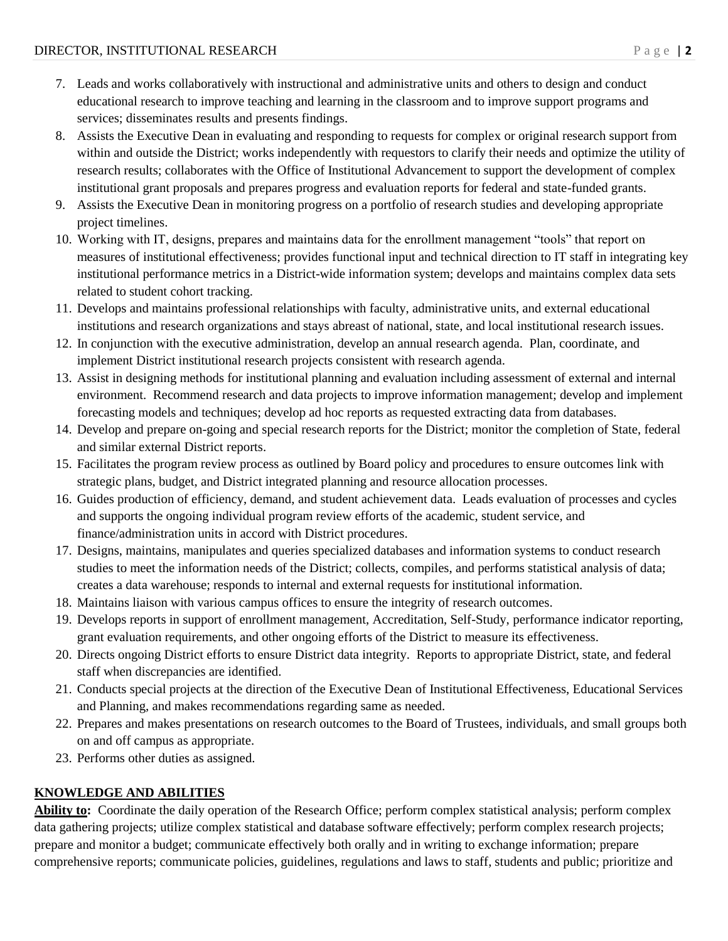- 7. Leads and works collaboratively with instructional and administrative units and others to design and conduct educational research to improve teaching and learning in the classroom and to improve support programs and services; disseminates results and presents findings.
- 8. Assists the Executive Dean in evaluating and responding to requests for complex or original research support from within and outside the District; works independently with requestors to clarify their needs and optimize the utility of research results; collaborates with the Office of Institutional Advancement to support the development of complex institutional grant proposals and prepares progress and evaluation reports for federal and state-funded grants.
- 9. Assists the Executive Dean in monitoring progress on a portfolio of research studies and developing appropriate project timelines.
- 10. Working with IT, designs, prepares and maintains data for the enrollment management "tools" that report on measures of institutional effectiveness; provides functional input and technical direction to IT staff in integrating key institutional performance metrics in a District-wide information system; develops and maintains complex data sets related to student cohort tracking.
- 11. Develops and maintains professional relationships with faculty, administrative units, and external educational institutions and research organizations and stays abreast of national, state, and local institutional research issues.
- 12. In conjunction with the executive administration, develop an annual research agenda. Plan, coordinate, and implement District institutional research projects consistent with research agenda.
- 13. Assist in designing methods for institutional planning and evaluation including assessment of external and internal environment. Recommend research and data projects to improve information management; develop and implement forecasting models and techniques; develop ad hoc reports as requested extracting data from databases.
- 14. Develop and prepare on-going and special research reports for the District; monitor the completion of State, federal and similar external District reports.
- 15. Facilitates the program review process as outlined by Board policy and procedures to ensure outcomes link with strategic plans, budget, and District integrated planning and resource allocation processes.
- 16. Guides production of efficiency, demand, and student achievement data. Leads evaluation of processes and cycles and supports the ongoing individual program review efforts of the academic, student service, and finance/administration units in accord with District procedures.
- 17. Designs, maintains, manipulates and queries specialized databases and information systems to conduct research studies to meet the information needs of the District; collects, compiles, and performs statistical analysis of data; creates a data warehouse; responds to internal and external requests for institutional information.
- 18. Maintains liaison with various campus offices to ensure the integrity of research outcomes.
- 19. Develops reports in support of enrollment management, Accreditation, Self-Study, performance indicator reporting, grant evaluation requirements, and other ongoing efforts of the District to measure its effectiveness.
- 20. Directs ongoing District efforts to ensure District data integrity. Reports to appropriate District, state, and federal staff when discrepancies are identified.
- 21. Conducts special projects at the direction of the Executive Dean of Institutional Effectiveness, Educational Services and Planning, and makes recommendations regarding same as needed.
- 22. Prepares and makes presentations on research outcomes to the Board of Trustees, individuals, and small groups both on and off campus as appropriate.
- 23. Performs other duties as assigned.

# **KNOWLEDGE AND ABILITIES**

**Ability to:** Coordinate the daily operation of the Research Office; perform complex statistical analysis; perform complex data gathering projects; utilize complex statistical and database software effectively; perform complex research projects; prepare and monitor a budget; communicate effectively both orally and in writing to exchange information; prepare comprehensive reports; communicate policies, guidelines, regulations and laws to staff, students and public; prioritize and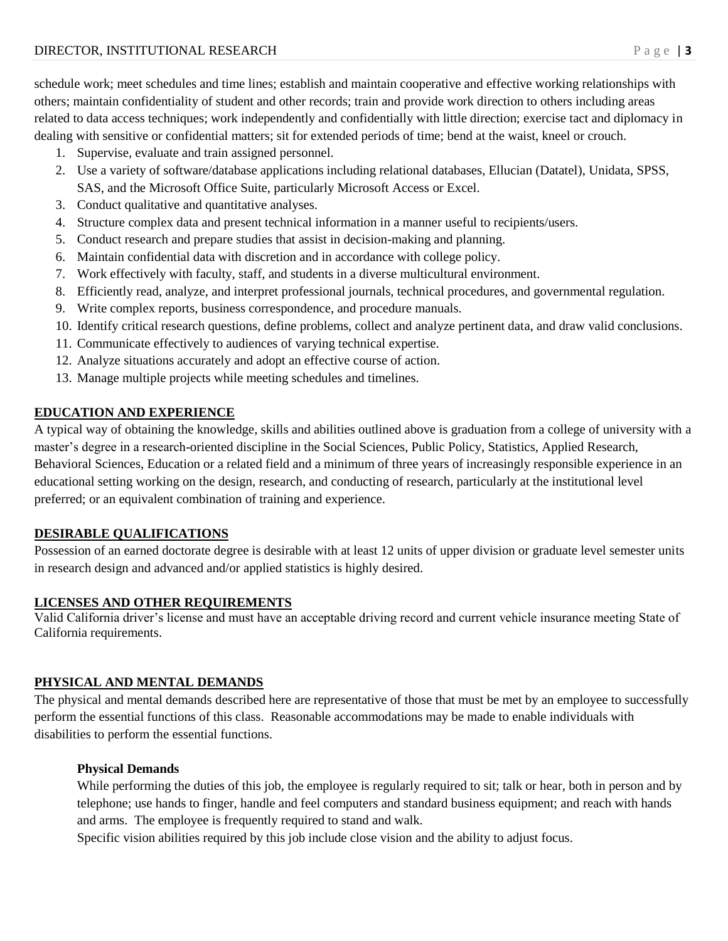schedule work; meet schedules and time lines; establish and maintain cooperative and effective working relationships with others; maintain confidentiality of student and other records; train and provide work direction to others including areas related to data access techniques; work independently and confidentially with little direction; exercise tact and diplomacy in dealing with sensitive or confidential matters; sit for extended periods of time; bend at the waist, kneel or crouch.

- 1. Supervise, evaluate and train assigned personnel.
- 2. Use a variety of software/database applications including relational databases, Ellucian (Datatel), Unidata, SPSS, SAS, and the Microsoft Office Suite, particularly Microsoft Access or Excel.
- 3. Conduct qualitative and quantitative analyses.
- 4. Structure complex data and present technical information in a manner useful to recipients/users.
- 5. Conduct research and prepare studies that assist in decision-making and planning.
- 6. Maintain confidential data with discretion and in accordance with college policy.
- 7. Work effectively with faculty, staff, and students in a diverse multicultural environment.
- 8. Efficiently read, analyze, and interpret professional journals, technical procedures, and governmental regulation.
- 9. Write complex reports, business correspondence, and procedure manuals.
- 10. Identify critical research questions, define problems, collect and analyze pertinent data, and draw valid conclusions.
- 11. Communicate effectively to audiences of varying technical expertise.
- 12. Analyze situations accurately and adopt an effective course of action.
- 13. Manage multiple projects while meeting schedules and timelines.

## **EDUCATION AND EXPERIENCE**

A typical way of obtaining the knowledge, skills and abilities outlined above is graduation from a college of university with a master's degree in a research-oriented discipline in the Social Sciences, Public Policy, Statistics, Applied Research, Behavioral Sciences, Education or a related field and a minimum of three years of increasingly responsible experience in an educational setting working on the design, research, and conducting of research, particularly at the institutional level preferred; or an equivalent combination of training and experience.

### **DESIRABLE QUALIFICATIONS**

Possession of an earned doctorate degree is desirable with at least 12 units of upper division or graduate level semester units in research design and advanced and/or applied statistics is highly desired.

# **LICENSES AND OTHER REQUIREMENTS**

Valid California driver's license and must have an acceptable driving record and current vehicle insurance meeting State of California requirements.

# **PHYSICAL AND MENTAL DEMANDS**

The physical and mental demands described here are representative of those that must be met by an employee to successfully perform the essential functions of this class. Reasonable accommodations may be made to enable individuals with disabilities to perform the essential functions.

### **Physical Demands**

While performing the duties of this job, the employee is regularly required to sit; talk or hear, both in person and by telephone; use hands to finger, handle and feel computers and standard business equipment; and reach with hands and arms. The employee is frequently required to stand and walk.

Specific vision abilities required by this job include close vision and the ability to adjust focus.